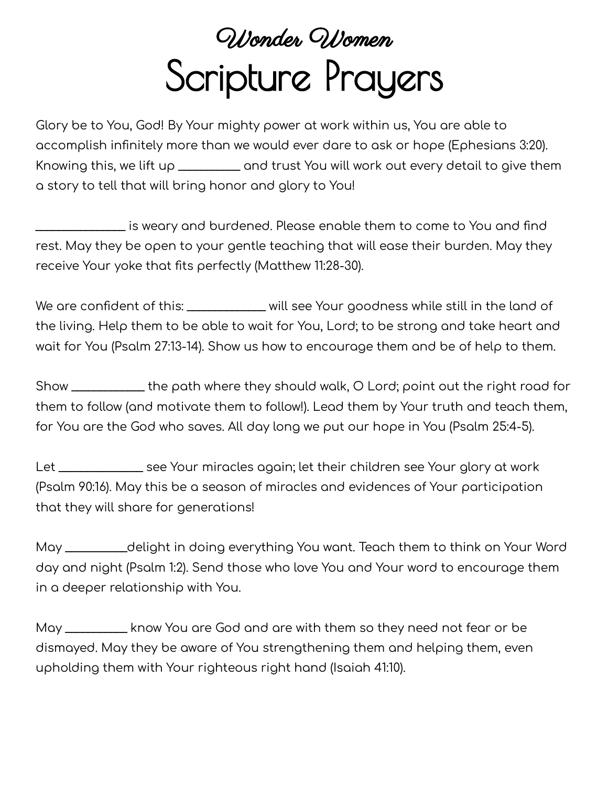## Wonder Women Scripture Prayers

Glory be to You, God! By Your mighty power at work within us, You are able to accomplish infinitely more than we would ever dare to ask or hope (Ephesians 3:20). Knowing this, we lift up \_\_\_\_\_\_\_\_\_\_\_ and trust You will work out every detail to give them a story to tell that will bring honor and glory to You!

\_\_\_\_\_\_\_\_\_\_\_\_\_\_\_\_ is weary and burdened. Please enable them to come to You and find rest. May they be open to your gentle teaching that will ease their burden. May they receive Your yoke that fits perfectly (Matthew 11:28-30).

We are confident of this: \_\_\_\_\_\_\_\_\_\_\_\_\_\_ will see Your goodness while still in the land of the living. Help them to be able to wait for You, Lord; to be strong and take heart and wait for You (Psalm 27:13-14). Show us how to encourage them and be of help to them.

Show \_\_\_\_\_\_\_\_\_\_\_\_\_ the path where they should walk, O Lord; point out the right road for them to follow (and motivate them to follow!). Lead them by Your truth and teach them, for You are the God who saves. All day long we put our hope in You (Psalm 25:4-5).

Let \_\_\_\_\_\_\_\_\_\_\_\_\_\_\_ see Your miracles again; let their children see Your glory at work (Psalm 90:16). May this be a season of miracles and evidences of Your participation that they will share for generations!

May \_\_\_\_\_\_\_\_\_\_\_delight in doing everything You want. Teach them to think on Your Word day and night (Psalm 1:2). Send those who love You and Your word to encourage them in a deeper relationship with You.

May \_\_\_\_\_\_\_\_\_\_\_ know You are God and are with them so they need not fear or be dismayed. May they be aware of You strengthening them and helping them, even upholding them with Your righteous right hand (Isaiah 41:10).